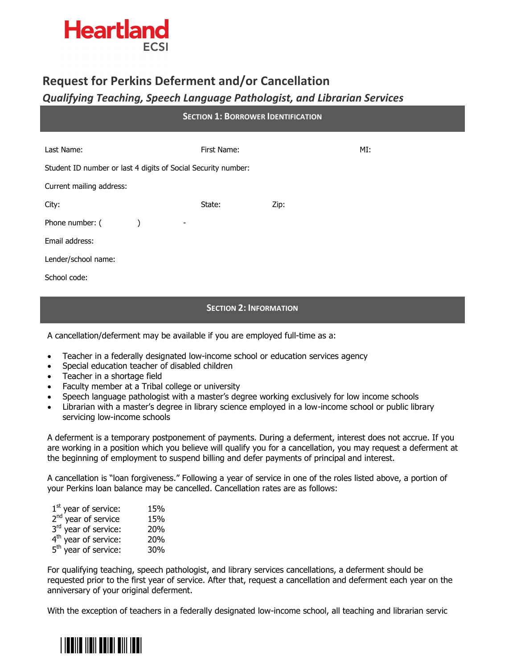

# **Request for Perkins Deferment and/or Cancellation**

# *Qualifying Teaching, Speech Language Pathologist, and Librarian Services*

| <b>SECTION 1: BORROWER IDENTIFICATION</b>                                                 |                                       |             |      |     |  |  |
|-------------------------------------------------------------------------------------------|---------------------------------------|-------------|------|-----|--|--|
| Last Name:                                                                                |                                       | First Name: |      | MI: |  |  |
| Student ID number or last 4 digits of Social Security number:<br>Current mailing address: |                                       |             |      |     |  |  |
| City:                                                                                     |                                       | State:      | Zip: |     |  |  |
| Phone number: (<br>Email address:                                                         | $\lambda$<br>$\overline{\phantom{a}}$ |             |      |     |  |  |
| Lender/school name:                                                                       |                                       |             |      |     |  |  |
| School code:                                                                              |                                       |             |      |     |  |  |

### **SECTION 2: INFORMATION**

A cancellation/deferment may be available if you are employed full-time as a:

- Teacher in a federally designated low-income school or education services agency
- Special education teacher of disabled children
- Teacher in a shortage field
- Faculty member at a Tribal college or university
- Speech language pathologist with a master's degree working exclusively for low income schools
- Librarian with a master's degree in library science employed in a low-income school or public library servicing low-income schools

A deferment is a temporary postponement of payments. During a deferment, interest does not accrue. If you are working in a position which you believe will qualify you for a cancellation, you may request a deferment at the beginning of employment to suspend billing and defer payments of principal and interest.

A cancellation is "loan forgiveness." Following a year of service in one of the roles listed above, a portion of your Perkins loan balance may be cancelled. Cancellation rates are as follows:

| $1st$ year of service:           | 15% |
|----------------------------------|-----|
| 2 <sup>nd</sup> year of service  | 15% |
| 3rd year of service:             | 20% |
| 4 <sup>th</sup> year of service: | 20% |
| 5 <sup>th</sup> year of service: | 30% |
|                                  |     |

For qualifying teaching, speech pathologist, and library services cancellations, a deferment should be requested prior to the first year of service. After that, request a cancellation and deferment each year on the anniversary of your original deferment.

With the exception of teachers in a federally designated low-income school, all teaching and librarian servic

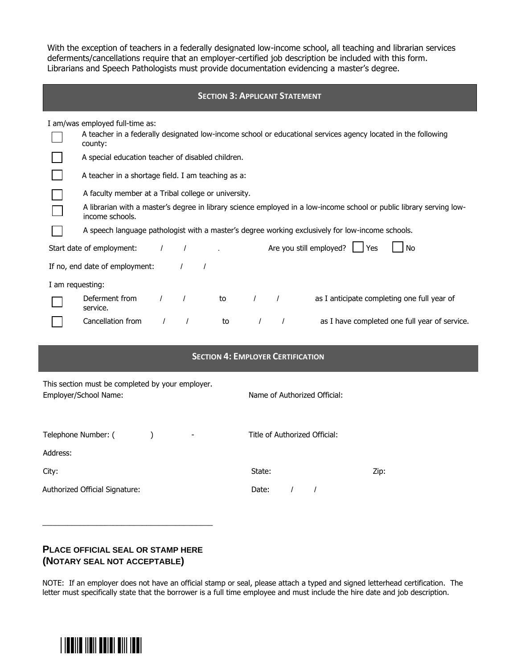With the exception of teachers in a federally designated low-income school, all teaching and librarian services deferments/cancellations require that an employer-certified job description be included with this form. Librarians and Speech Pathologists must provide documentation evidencing a master's degree.

|                                                                                                  |                                                                                                                                         |  |                          |  |    |            |                          | <b>SECTION 3: APPLICANT STATEMENT</b>                                                                         |
|--------------------------------------------------------------------------------------------------|-----------------------------------------------------------------------------------------------------------------------------------------|--|--------------------------|--|----|------------|--------------------------|---------------------------------------------------------------------------------------------------------------|
|                                                                                                  | I am/was employed full-time as:                                                                                                         |  |                          |  |    |            |                          |                                                                                                               |
|                                                                                                  | county:                                                                                                                                 |  |                          |  |    |            |                          | A teacher in a federally designated low-income school or educational services agency located in the following |
|                                                                                                  | A special education teacher of disabled children.                                                                                       |  |                          |  |    |            |                          |                                                                                                               |
|                                                                                                  | A teacher in a shortage field. I am teaching as a:                                                                                      |  |                          |  |    |            |                          |                                                                                                               |
|                                                                                                  | A faculty member at a Tribal college or university.                                                                                     |  |                          |  |    |            |                          |                                                                                                               |
|                                                                                                  | A librarian with a master's degree in library science employed in a low-income school or public library serving low-<br>income schools. |  |                          |  |    |            |                          |                                                                                                               |
| A speech language pathologist with a master's degree working exclusively for low-income schools. |                                                                                                                                         |  |                          |  |    |            |                          |                                                                                                               |
|                                                                                                  | Start date of employment:                                                                                                               |  | $\overline{\phantom{a}}$ |  |    |            |                          | Are you still employed? $\Box$ Yes<br><b>No</b>                                                               |
|                                                                                                  | If no, end date of employment:                                                                                                          |  |                          |  |    |            |                          |                                                                                                               |
| I am requesting:                                                                                 |                                                                                                                                         |  |                          |  |    |            |                          |                                                                                                               |
|                                                                                                  | Deferment from<br>service.                                                                                                              |  | $\sqrt{2}$ to            |  |    | $\sqrt{2}$ | $\overline{\phantom{a}}$ | as I anticipate completing one full year of                                                                   |
|                                                                                                  | Cancellation from                                                                                                                       |  | $\sqrt{ }$               |  | to |            |                          | as I have completed one full year of service.                                                                 |
|                                                                                                  |                                                                                                                                         |  |                          |  |    |            |                          |                                                                                                               |

|                                                                           | <b>SECTION 4: EMPLOYER CERTIFICATION</b>                  |
|---------------------------------------------------------------------------|-----------------------------------------------------------|
| This section must be completed by your employer.<br>Employer/School Name: | Name of Authorized Official:                              |
| Telephone Number: (<br>Address:                                           | Title of Authorized Official:<br>$\overline{\phantom{a}}$ |
| City:<br>Authorized Official Signature:                                   | State:<br>Zip:<br>Date:                                   |

## **PLACE OFFICIAL SEAL OR STAMP HERE (NOTARY SEAL NOT ACCEPTABLE)**

\_\_\_\_\_\_\_\_\_\_\_\_\_\_\_\_\_\_\_\_\_\_\_\_\_\_\_\_\_\_\_\_\_\_\_\_\_\_\_\_\_

NOTE: If an employer does not have an official stamp or seal, please attach a typed and signed letterhead certification. The letter must specifically state that the borrower is a full time employee and must include the hire date and job description.



I